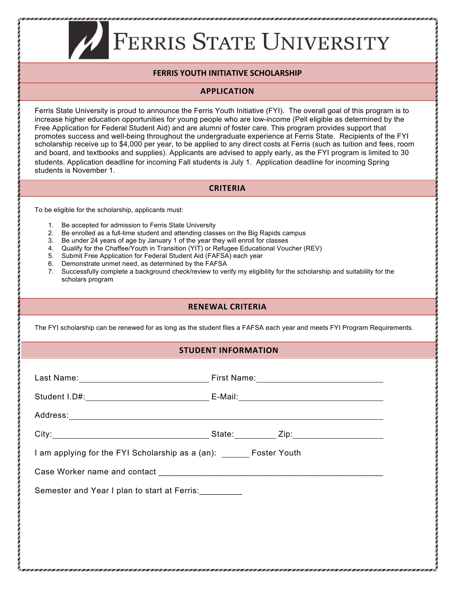# **FERRIS STATE UNIVERSITY**

## **FERRIS YOUTH INITIATIVE SCHOLARSHIP**

### **APPLICATION**

Ferris State University is proud to announce the Ferris Youth Initiative (FYI). The overall goal of this program is to increase higher education opportunities for young people who are low-income (Pell eligible as determined by the Free Application for Federal Student Aid) and are alumni of foster care. This program provides support that promotes success and well-being throughout the undergraduate experience at Ferris State. Recipients of the FYI scholarship receive up to \$4,000 per year, to be applied to any direct costs at Ferris (such as tuition and fees, room and board, and textbooks and supplies). Applicants are advised to apply early, as the FYI program is limited to 30 students. Application deadline for incoming Fall students is July 1. Application deadline for incoming Spring students is November 1.

#### **CRITERIA**

To be eligible for the scholarship, applicants must:

- 1. Be accepted for admission to Ferris State University
- 2. Be enrolled as a full-time student and attending classes on the Big Rapids campus
- 3. Be under 24 years of age by January 1 of the year they will enroll for classes
- 4. Qualify for the Chaffee/Youth in Transition (YIT) or Refugee Educational Voucher (REV)<br>5. Submit Free Application for Federal Student Aid (FAFSA) each year
- Submit Free Application for Federal Student Aid (FAFSA) each year
- 6. Demonstrate unmet need, as determined by the FAFSA
- 7. Successfully complete a background check/review to verify my eligibility for the scholarship and suitability for the scholars program

## **RENEWAL CRITERIA**

The FYI scholarship can be renewed for as long as the student files a FAFSA each year and meets FYI Program Requirements.

#### **STUDENT INFORMATION**

| City: 2010 City: 2010 City: 2010 City: 2010 City: 2010 City: 2010 City: 2010 City: 2010 City: 2010 City: 2010 City: 2010 City: 2010 City: 2010 City: 2010 City: 2010 City: 2010 City: 2010 City: 2010 City: 2010 City: 2010 Ci |  |  |
|--------------------------------------------------------------------------------------------------------------------------------------------------------------------------------------------------------------------------------|--|--|
| I am applying for the FYI Scholarship as a (an): Foster Youth                                                                                                                                                                  |  |  |
|                                                                                                                                                                                                                                |  |  |
| Semester and Year I plan to start at Ferris: _________                                                                                                                                                                         |  |  |
|                                                                                                                                                                                                                                |  |  |